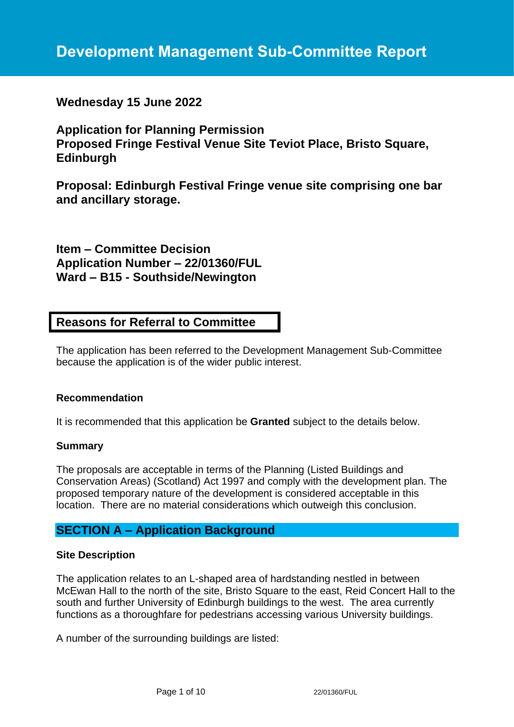# **Development Management Sub-Committee Report**

# **Wednesday 15 June 2022**

**Application for Planning Permission Proposed Fringe Festival Venue Site Teviot Place, Bristo Square, Edinburgh**

**Proposal: Edinburgh Festival Fringe venue site comprising one bar and ancillary storage.**

**Item – Committee Decision Application Number – 22/01360/FUL Ward – B15 - Southside/Newington**

# **Reasons for Referral to Committee**

The application has been referred to the Development Management Sub-Committee because the application is of the wider public interest.

#### **Recommendation**

It is recommended that this application be **Granted** subject to the details below.

#### **Summary**

The proposals are acceptable in terms of the Planning (Listed Buildings and Conservation Areas) (Scotland) Act 1997 and comply with the development plan. The proposed temporary nature of the development is considered acceptable in this location. There are no material considerations which outweigh this conclusion.

# **SECTION A – Application Background**

#### **Site Description**

The application relates to an L-shaped area of hardstanding nestled in between McEwan Hall to the north of the site, Bristo Square to the east, Reid Concert Hall to the south and further University of Edinburgh buildings to the west. The area currently functions as a thoroughfare for pedestrians accessing various University buildings.

A number of the surrounding buildings are listed: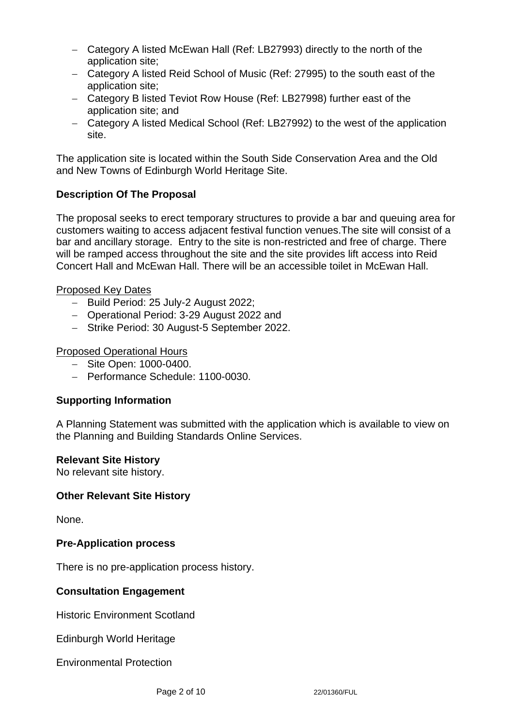- − Category A listed McEwan Hall (Ref: LB27993) directly to the north of the application site;
- − Category A listed Reid School of Music (Ref: 27995) to the south east of the application site;
- − Category B listed Teviot Row House (Ref: LB27998) further east of the application site; and
- − Category A listed Medical School (Ref: LB27992) to the west of the application site.

The application site is located within the South Side Conservation Area and the Old and New Towns of Edinburgh World Heritage Site.

# **Description Of The Proposal**

The proposal seeks to erect temporary structures to provide a bar and queuing area for customers waiting to access adjacent festival function venues.The site will consist of a bar and ancillary storage. Entry to the site is non-restricted and free of charge. There will be ramped access throughout the site and the site provides lift access into Reid Concert Hall and McEwan Hall. There will be an accessible toilet in McEwan Hall.

# Proposed Key Dates

- − Build Period: 25 July-2 August 2022;
- − Operational Period: 3-29 August 2022 and
- − Strike Period: 30 August-5 September 2022.

### Proposed Operational Hours

- − Site Open: 1000-0400.
- − Performance Schedule: 1100-0030.

# **Supporting Information**

A Planning Statement was submitted with the application which is available to view on the Planning and Building Standards Online Services.

### **Relevant Site History**

No relevant site history.

### **Other Relevant Site History**

None.

### **Pre-Application process**

There is no pre-application process history.

### **Consultation Engagement**

Historic Environment Scotland

Edinburgh World Heritage

Environmental Protection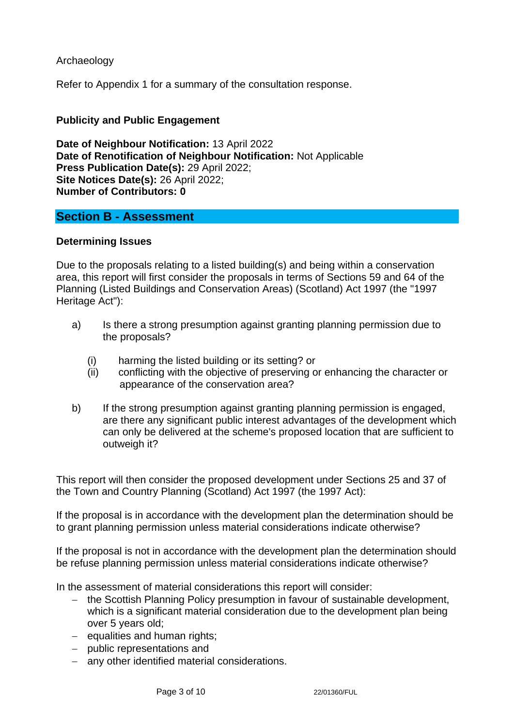### Archaeology

Refer to Appendix 1 for a summary of the consultation response.

#### **Publicity and Public Engagement**

**Date of Neighbour Notification:** 13 April 2022 **Date of Renotification of Neighbour Notification:** Not Applicable **Press Publication Date(s):** 29 April 2022; **Site Notices Date(s):** 26 April 2022; **Number of Contributors: 0**

### **Section B - Assessment**

#### **Determining Issues**

Due to the proposals relating to a listed building(s) and being within a conservation area, this report will first consider the proposals in terms of Sections 59 and 64 of the Planning (Listed Buildings and Conservation Areas) (Scotland) Act 1997 (the "1997 Heritage Act"):

- a) Is there a strong presumption against granting planning permission due to the proposals?
	- (i) harming the listed building or its setting? or
	- (ii) conflicting with the objective of preserving or enhancing the character or appearance of the conservation area?
- b) If the strong presumption against granting planning permission is engaged, are there any significant public interest advantages of the development which can only be delivered at the scheme's proposed location that are sufficient to outweigh it?

This report will then consider the proposed development under Sections 25 and 37 of the Town and Country Planning (Scotland) Act 1997 (the 1997 Act):

If the proposal is in accordance with the development plan the determination should be to grant planning permission unless material considerations indicate otherwise?

If the proposal is not in accordance with the development plan the determination should be refuse planning permission unless material considerations indicate otherwise?

In the assessment of material considerations this report will consider:

- − the Scottish Planning Policy presumption in favour of sustainable development, which is a significant material consideration due to the development plan being over 5 years old;
- − equalities and human rights;
- − public representations and
- − any other identified material considerations.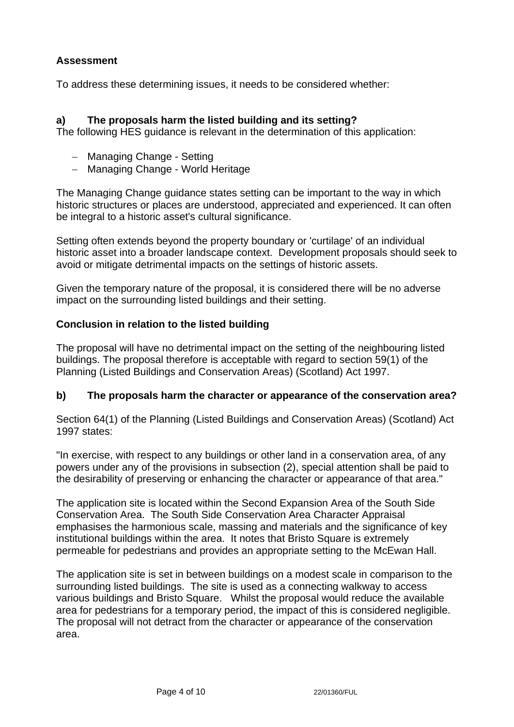# **Assessment**

To address these determining issues, it needs to be considered whether:

# **a) The proposals harm the listed building and its setting?**

The following HES guidance is relevant in the determination of this application:

- − Managing Change Setting
- − Managing Change World Heritage

The Managing Change guidance states setting can be important to the way in which historic structures or places are understood, appreciated and experienced. It can often be integral to a historic asset's cultural significance.

Setting often extends beyond the property boundary or 'curtilage' of an individual historic asset into a broader landscape context. Development proposals should seek to avoid or mitigate detrimental impacts on the settings of historic assets.

Given the temporary nature of the proposal, it is considered there will be no adverse impact on the surrounding listed buildings and their setting.

### **Conclusion in relation to the listed building**

The proposal will have no detrimental impact on the setting of the neighbouring listed buildings. The proposal therefore is acceptable with regard to section 59(1) of the Planning (Listed Buildings and Conservation Areas) (Scotland) Act 1997.

### **b) The proposals harm the character or appearance of the conservation area?**

Section 64(1) of the Planning (Listed Buildings and Conservation Areas) (Scotland) Act 1997 states:

"In exercise, with respect to any buildings or other land in a conservation area, of any powers under any of the provisions in subsection (2), special attention shall be paid to the desirability of preserving or enhancing the character or appearance of that area."

The application site is located within the Second Expansion Area of the South Side Conservation Area. The South Side Conservation Area Character Appraisal emphasises the harmonious scale, massing and materials and the significance of key institutional buildings within the area. It notes that Bristo Square is extremely permeable for pedestrians and provides an appropriate setting to the McEwan Hall.

The application site is set in between buildings on a modest scale in comparison to the surrounding listed buildings. The site is used as a connecting walkway to access various buildings and Bristo Square. Whilst the proposal would reduce the available area for pedestrians for a temporary period, the impact of this is considered negligible. The proposal will not detract from the character or appearance of the conservation area.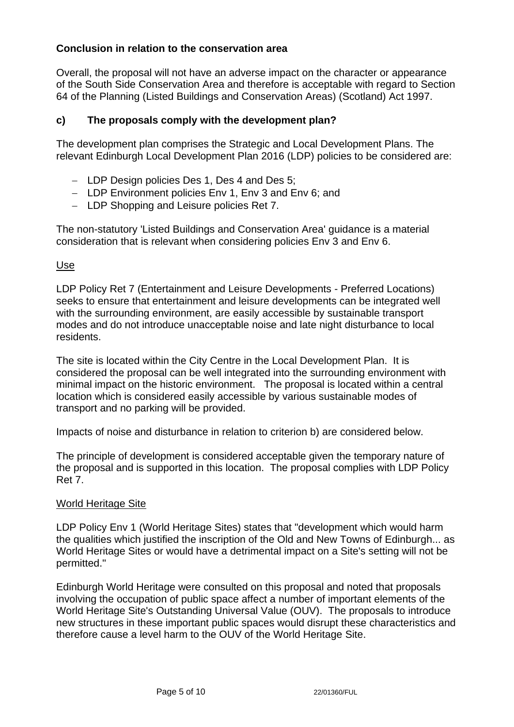# **Conclusion in relation to the conservation area**

Overall, the proposal will not have an adverse impact on the character or appearance of the South Side Conservation Area and therefore is acceptable with regard to Section 64 of the Planning (Listed Buildings and Conservation Areas) (Scotland) Act 1997.

# **c) The proposals comply with the development plan?**

The development plan comprises the Strategic and Local Development Plans. The relevant Edinburgh Local Development Plan 2016 (LDP) policies to be considered are:

- − LDP Design policies Des 1, Des 4 and Des 5;
- − LDP Environment policies Env 1, Env 3 and Env 6; and
- − LDP Shopping and Leisure policies Ret 7.

The non-statutory 'Listed Buildings and Conservation Area' guidance is a material consideration that is relevant when considering policies Env 3 and Env 6.

### Use

LDP Policy Ret 7 (Entertainment and Leisure Developments - Preferred Locations) seeks to ensure that entertainment and leisure developments can be integrated well with the surrounding environment, are easily accessible by sustainable transport modes and do not introduce unacceptable noise and late night disturbance to local residents.

The site is located within the City Centre in the Local Development Plan. It is considered the proposal can be well integrated into the surrounding environment with minimal impact on the historic environment. The proposal is located within a central location which is considered easily accessible by various sustainable modes of transport and no parking will be provided.

Impacts of noise and disturbance in relation to criterion b) are considered below.

The principle of development is considered acceptable given the temporary nature of the proposal and is supported in this location. The proposal complies with LDP Policy Ret 7.

### World Heritage Site

LDP Policy Env 1 (World Heritage Sites) states that "development which would harm the qualities which justified the inscription of the Old and New Towns of Edinburgh... as World Heritage Sites or would have a detrimental impact on a Site's setting will not be permitted."

Edinburgh World Heritage were consulted on this proposal and noted that proposals involving the occupation of public space affect a number of important elements of the World Heritage Site's Outstanding Universal Value (OUV). The proposals to introduce new structures in these important public spaces would disrupt these characteristics and therefore cause a level harm to the OUV of the World Heritage Site.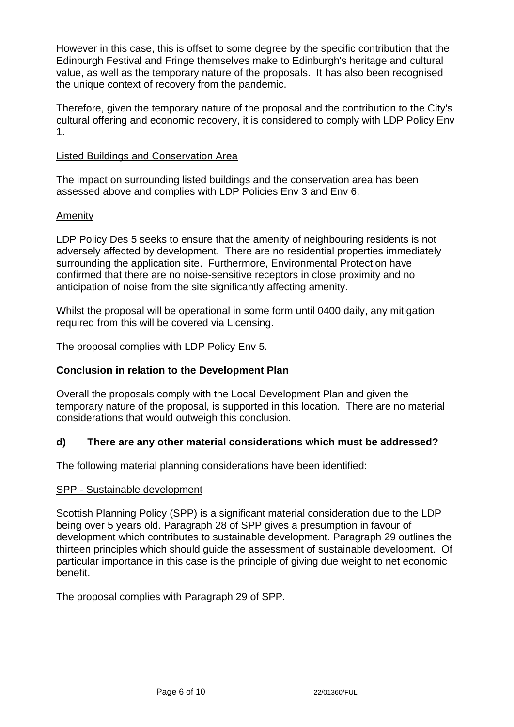However in this case, this is offset to some degree by the specific contribution that the Edinburgh Festival and Fringe themselves make to Edinburgh's heritage and cultural value, as well as the temporary nature of the proposals. It has also been recognised the unique context of recovery from the pandemic.

Therefore, given the temporary nature of the proposal and the contribution to the City's cultural offering and economic recovery, it is considered to comply with LDP Policy Env 1.

#### Listed Buildings and Conservation Area

The impact on surrounding listed buildings and the conservation area has been assessed above and complies with LDP Policies Env 3 and Env 6.

### Amenity

LDP Policy Des 5 seeks to ensure that the amenity of neighbouring residents is not adversely affected by development. There are no residential properties immediately surrounding the application site. Furthermore, Environmental Protection have confirmed that there are no noise-sensitive receptors in close proximity and no anticipation of noise from the site significantly affecting amenity.

Whilst the proposal will be operational in some form until 0400 daily, any mitigation required from this will be covered via Licensing.

The proposal complies with LDP Policy Env 5.

### **Conclusion in relation to the Development Plan**

Overall the proposals comply with the Local Development Plan and given the temporary nature of the proposal, is supported in this location. There are no material considerations that would outweigh this conclusion.

### **d) There are any other material considerations which must be addressed?**

The following material planning considerations have been identified:

#### SPP - Sustainable development

Scottish Planning Policy (SPP) is a significant material consideration due to the LDP being over 5 years old. Paragraph 28 of SPP gives a presumption in favour of development which contributes to sustainable development. Paragraph 29 outlines the thirteen principles which should guide the assessment of sustainable development. Of particular importance in this case is the principle of giving due weight to net economic benefit.

The proposal complies with Paragraph 29 of SPP.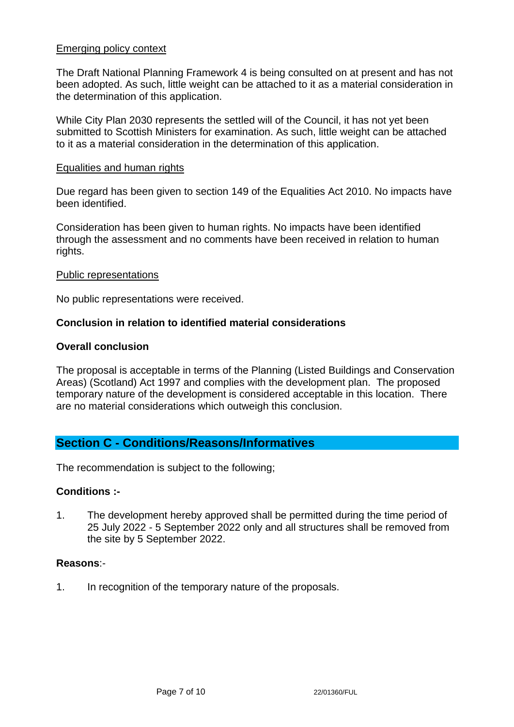#### Emerging policy context

The Draft National Planning Framework 4 is being consulted on at present and has not been adopted. As such, little weight can be attached to it as a material consideration in the determination of this application.

While City Plan 2030 represents the settled will of the Council, it has not yet been submitted to Scottish Ministers for examination. As such, little weight can be attached to it as a material consideration in the determination of this application.

#### Equalities and human rights

Due regard has been given to section 149 of the Equalities Act 2010. No impacts have been identified.

Consideration has been given to human rights. No impacts have been identified through the assessment and no comments have been received in relation to human rights.

#### Public representations

No public representations were received.

#### **Conclusion in relation to identified material considerations**

#### **Overall conclusion**

The proposal is acceptable in terms of the Planning (Listed Buildings and Conservation Areas) (Scotland) Act 1997 and complies with the development plan. The proposed temporary nature of the development is considered acceptable in this location. There are no material considerations which outweigh this conclusion.

### **Section C - Conditions/Reasons/Informatives**

The recommendation is subject to the following;

#### **Conditions :-**

1. The development hereby approved shall be permitted during the time period of 25 July 2022 - 5 September 2022 only and all structures shall be removed from the site by 5 September 2022.

#### **Reasons**:-

1. In recognition of the temporary nature of the proposals.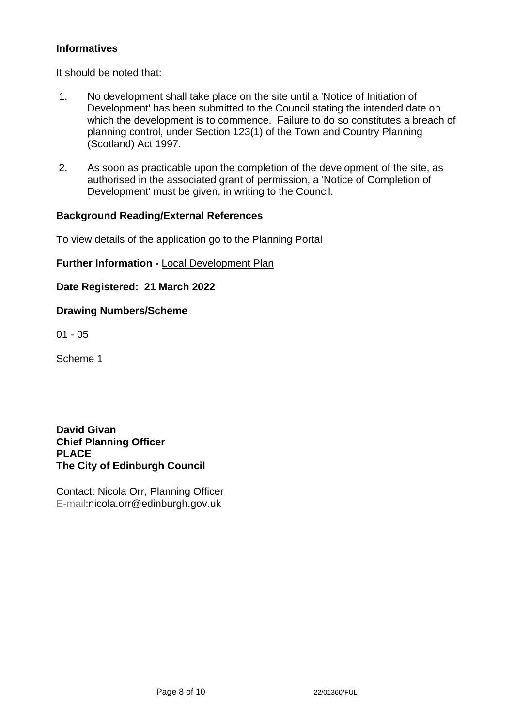# **Informatives**

It should be noted that:

- 1. No development shall take place on the site until a 'Notice of Initiation of Development' has been submitted to the Council stating the intended date on which the development is to commence. Failure to do so constitutes a breach of planning control, under Section 123(1) of the Town and Country Planning (Scotland) Act 1997.
- 2. As soon as practicable upon the completion of the development of the site, as authorised in the associated grant of permission, a 'Notice of Completion of Development' must be given, in writing to the Council.

### **Background Reading/External References**

To view details of the application go to the Planning Portal

# **Further Information -** [Local Development Plan](https://www.edinburgh.gov.uk/local-development-plan-guidance-1/edinburgh-local-development-plan/1)

**Date Registered: 21 March 2022**

### **Drawing Numbers/Scheme**

01 - 05

Scheme 1

**David Givan Chief Planning Officer PLACE The City of Edinburgh Council**

Contact: Nicola Orr, Planning Officer E-mail:nicola.orr@edinburgh.gov.uk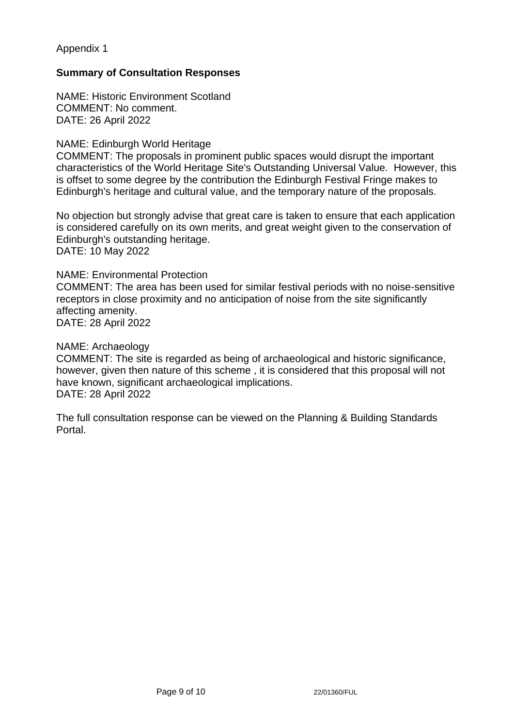Appendix 1

# **Summary of Consultation Responses**

NAME: Historic Environment Scotland COMMENT: No comment. DATE: 26 April 2022

#### NAME: Edinburgh World Heritage

COMMENT: The proposals in prominent public spaces would disrupt the important characteristics of the World Heritage Site's Outstanding Universal Value. However, this is offset to some degree by the contribution the Edinburgh Festival Fringe makes to Edinburgh's heritage and cultural value, and the temporary nature of the proposals.

No objection but strongly advise that great care is taken to ensure that each application is considered carefully on its own merits, and great weight given to the conservation of Edinburgh's outstanding heritage.

DATE: 10 May 2022

#### NAME: Environmental Protection

COMMENT: The area has been used for similar festival periods with no noise-sensitive receptors in close proximity and no anticipation of noise from the site significantly affecting amenity. DATE: 28 April 2022

NAME: Archaeology

COMMENT: The site is regarded as being of archaeological and historic significance, however, given then nature of this scheme , it is considered that this proposal will not have known, significant archaeological implications. DATE: 28 April 2022

The full consultation response can be viewed on the Planning & Building Standards Portal.